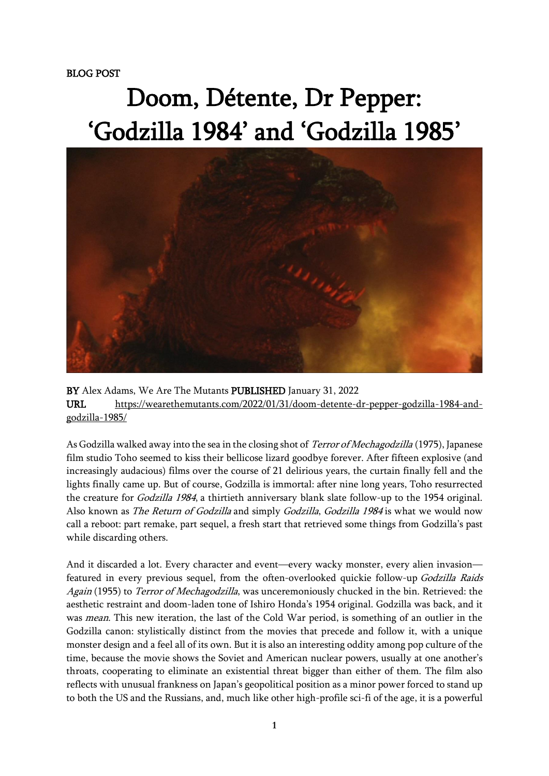## Doom, Détente, Dr Pepper: 'Godzilla 1984' and 'Godzilla 1985'



BY Alex Adams, We Are The Mutants PUBLISHED January 31, 2022 URL [https://wearethemutants.com/2022/01/31/doom-detente-dr-pepper-godzilla-1984-and](https://wearethemutants.com/2022/01/31/doom-detente-dr-pepper-godzilla-1984-and-godzilla-1985/)[godzilla-1985/](https://wearethemutants.com/2022/01/31/doom-detente-dr-pepper-godzilla-1984-and-godzilla-1985/)

As Godzilla walked away into the sea in the closing shot of *Terror of Mechagodzilla* (1975), Japanese film studio Toho seemed to kiss their bellicose lizard goodbye forever. After fifteen explosive (and increasingly audacious) films over the course of 21 delirious years, the curtain finally fell and the lights finally came up. But of course, Godzilla is immortal: after nine long years, Toho resurrected the creature for Godzilla 1984, a thirtieth anniversary blank slate follow-up to the 1954 original. Also known as The Return of Godzilla and simply Godzilla, Godzilla 1984 is what we would now call a reboot: part remake, part sequel, a fresh start that retrieved some things from Godzilla's past while discarding others.

And it discarded a lot. Every character and event—every wacky monster, every alien invasion featured in every previous sequel, from the often-overlooked quickie follow-up Godzilla Raids Again (1955) to *Terror of Mechagodzilla*, was unceremoniously chucked in the bin. Retrieved: the aesthetic restraint and doom-laden tone of Ishiro Honda's 1954 original. Godzilla was back, and it was mean. This new iteration, the last of the Cold War period, is something of an outlier in the Godzilla canon: stylistically distinct from the movies that precede and follow it, with a unique monster design and a feel all of its own. But it is also an interesting oddity among pop culture of the time, because the movie shows the Soviet and American nuclear powers, usually at one another's throats, cooperating to eliminate an existential threat bigger than either of them. The film also reflects with unusual frankness on Japan's geopolitical position as a minor power forced to stand up to both the US and the Russians, and, much like other high-profile sci-fi of the age, it is a powerful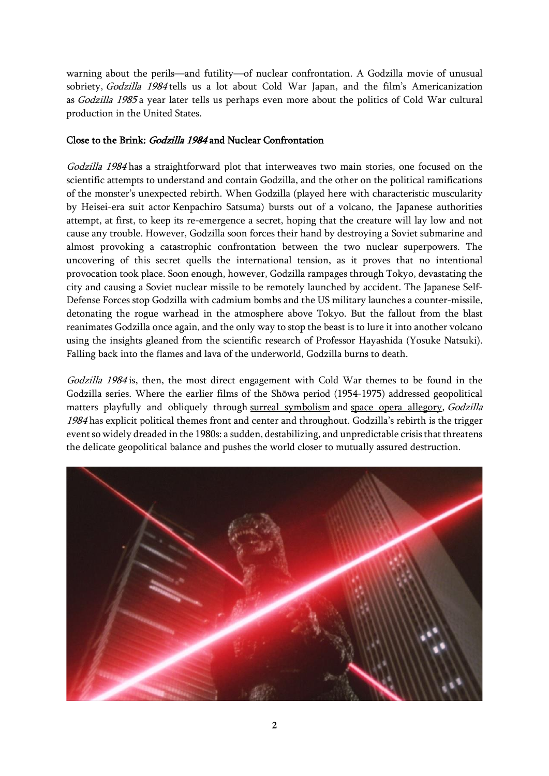warning about the perils—and futility—of nuclear confrontation. A Godzilla movie of unusual sobriety, Godzilla 1984 tells us a lot about Cold War Japan, and the film's Americanization as Godzilla 1985 a year later tells us perhaps even more about the politics of Cold War cultural production in the United States.

## Close to the Brink: Godzilla 1984 and Nuclear Confrontation

Godzilla 1984 has a straightforward plot that interweaves two main stories, one focused on the scientific attempts to understand and contain Godzilla, and the other on the political ramifications of the monster's unexpected rebirth. When Godzilla (played here with characteristic muscularity by Heisei-era suit actor Kenpachiro Satsuma) bursts out of a volcano, the Japanese authorities attempt, at first, to keep its re-emergence a secret, hoping that the creature will lay low and not cause any trouble. However, Godzilla soon forces their hand by destroying a Soviet submarine and almost provoking a catastrophic confrontation between the two nuclear superpowers. The uncovering of this secret quells the international tension, as it proves that no intentional provocation took place. Soon enough, however, Godzilla rampages through Tokyo, devastating the city and causing a Soviet nuclear missile to be remotely launched by accident. The Japanese Self-Defense Forces stop Godzilla with cadmium bombs and the US military launches a counter-missile, detonating the rogue warhead in the atmosphere above Tokyo. But the fallout from the blast reanimates Godzilla once again, and the only way to stop the beast is to lure it into another volcano using the insights gleaned from the scientific research of Professor Hayashida (Yosuke Natsuki). Falling back into the flames and lava of the underworld, Godzilla burns to death.

Godzilla 1984 is, then, the most direct engagement with Cold War themes to be found in the Godzilla series. Where the earlier films of the Shōwa period (1954-1975) addressed geopolitical matters playfully and obliquely through surreal [symbolism](https://wearethemutants.com/2021/06/15/rise-of-the-smog-god-ecological-apocalypse-in-godzilla-vs-hedorah-1971/) and space opera [allegory,](https://wearethemutants.com/2021/10/06/the-golden-hydra-king-ghidorah-astro-colonizers-and-cold-war-empire/) Godzilla 1984 has explicit political themes front and center and throughout. Godzilla's rebirth is the trigger event so widely dreaded in the 1980s: a sudden, destabilizing, and unpredictable crisis that threatens the delicate geopolitical balance and pushes the world closer to mutually assured destruction.

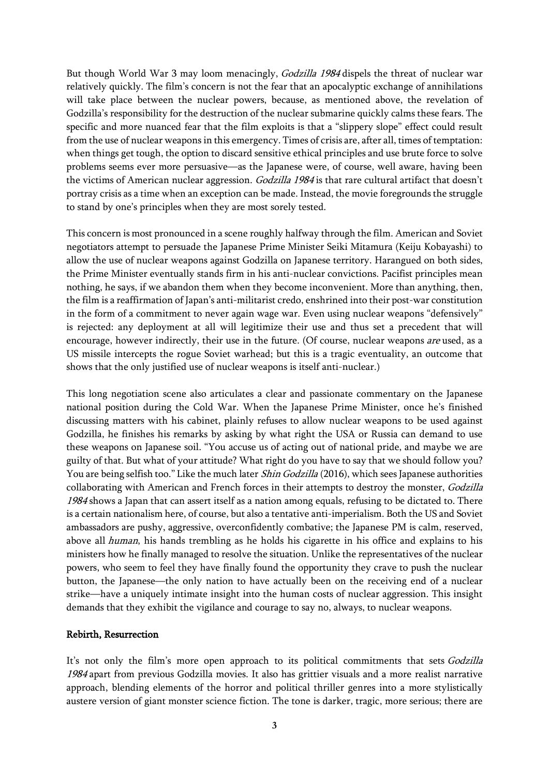But though World War 3 may loom menacingly, Godzilla 1984 dispels the threat of nuclear war relatively quickly. The film's concern is not the fear that an apocalyptic exchange of annihilations will take place between the nuclear powers, because, as mentioned above, the revelation of Godzilla's responsibility for the destruction of the nuclear submarine quickly calms these fears. The specific and more nuanced fear that the film exploits is that a "slippery slope" effect could result from the use of nuclear weapons in this emergency. Times of crisis are, after all, times of temptation: when things get tough, the option to discard sensitive ethical principles and use brute force to solve problems seems ever more persuasive—as the Japanese were, of course, well aware, having been the victims of American nuclear aggression. Godzilla 1984 is that rare cultural artifact that doesn't portray crisis as a time when an exception can be made. Instead, the movie foregrounds the struggle to stand by one's principles when they are most sorely tested.

This concern is most pronounced in a scene roughly halfway through the film. American and Soviet negotiators attempt to persuade the Japanese Prime Minister Seiki Mitamura (Keiju Kobayashi) to allow the use of nuclear weapons against Godzilla on Japanese territory. Harangued on both sides, the Prime Minister eventually stands firm in his anti-nuclear convictions. Pacifist principles mean nothing, he says, if we abandon them when they become inconvenient. More than anything, then, the film is a reaffirmation of Japan's anti-militarist credo, enshrined into their post-war constitution in the form of a commitment to never again wage war. Even using nuclear weapons "defensively" is rejected: any deployment at all will legitimize their use and thus set a precedent that will encourage, however indirectly, their use in the future. (Of course, nuclear weapons *are* used, as a US missile intercepts the rogue Soviet warhead; but this is a tragic eventuality, an outcome that shows that the only justified use of nuclear weapons is itself anti-nuclear.)

This long negotiation scene also articulates a clear and passionate commentary on the Japanese national position during the Cold War. When the Japanese Prime Minister, once he's finished discussing matters with his cabinet, plainly refuses to allow nuclear weapons to be used against Godzilla, he finishes his remarks by asking by what right the USA or Russia can demand to use these weapons on Japanese soil. "You accuse us of acting out of national pride, and maybe we are guilty of that. But what of your attitude? What right do you have to say that we should follow you? You are being selfish too." Like the much later Shin Godzilla (2016), which sees Japanese authorities collaborating with American and French forces in their attempts to destroy the monster, Godzilla 1984 shows a Japan that can assert itself as a nation among equals, refusing to be dictated to. There is a certain nationalism here, of course, but also a tentative anti-imperialism. Both the US and Soviet ambassadors are pushy, aggressive, overconfidently combative; the Japanese PM is calm, reserved, above all human, his hands trembling as he holds his cigarette in his office and explains to his ministers how he finally managed to resolve the situation. Unlike the representatives of the nuclear powers, who seem to feel they have finally found the opportunity they crave to push the nuclear button, the Japanese—the only nation to have actually been on the receiving end of a nuclear strike—have a uniquely intimate insight into the human costs of nuclear aggression. This insight demands that they exhibit the vigilance and courage to say no, always, to nuclear weapons.

## Rebirth, Resurrection

It's not only the film's more open approach to its political commitments that sets Godzilla 1984 apart from previous Godzilla movies. It also has grittier visuals and a more realist narrative approach, blending elements of the horror and political thriller genres into a more stylistically austere version of giant monster science fiction. The tone is darker, tragic, more serious; there are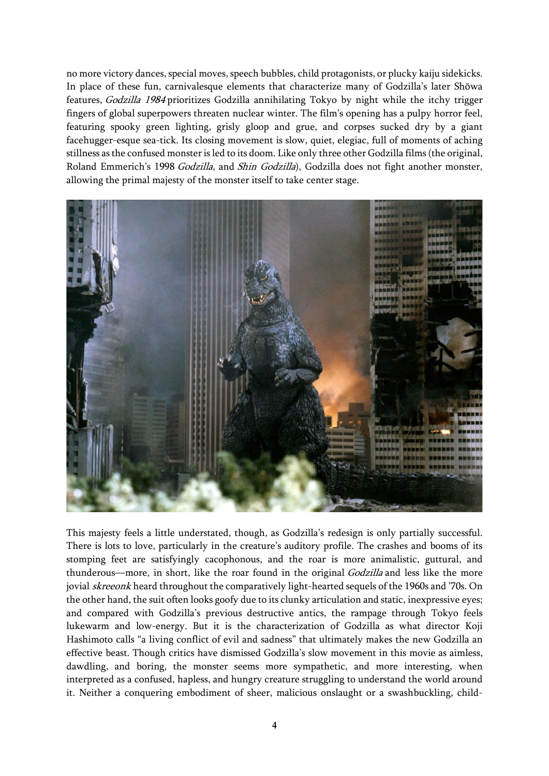no more victory dances, special moves, speech bubbles, child protagonists, or plucky kaiju sidekicks. In place of these fun, carnivalesque elements that characterize many of Godzilla's later Shōwa features, Godzilla 1984 prioritizes Godzilla annihilating Tokyo by night while the itchy trigger fingers of global superpowers threaten nuclear winter. The film's opening has a pulpy horror feel, featuring spooky green lighting, grisly gloop and grue, and corpses sucked dry by a giant facehugger-esque sea-tick. Its closing movement is slow, quiet, elegiac, full of moments of aching stillness as the confused monsteris led to its doom. Like only three other Godzilla films (the original, Roland Emmerich's 1998 Godzilla, and Shin Godzilla), Godzilla does not fight another monster, allowing the primal majesty of the monster itself to take center stage.



This majesty feels a little understated, though, as Godzilla's redesign is only partially successful. There is lots to love, particularly in the creature's auditory profile. The crashes and booms of its stomping feet are satisfyingly cacophonous, and the roar is more animalistic, guttural, and thunderous—more, in short, like the roar found in the original *Godzilla* and less like the more jovial skreeonk heard throughout the comparatively light-hearted sequels of the 1960s and '70s. On the other hand, the suit often looks goofy due to its clunky articulation and static, inexpressive eyes; and compared with Godzilla's previous destructive antics, the rampage through Tokyo feels lukewarm and low-energy. But it is the characterization of Godzilla as what director Koji Hashimoto calls "a living conflict of evil and sadness" that ultimately makes the new Godzilla an effective beast. Though critics have dismissed Godzilla's slow movement in this movie as aimless, dawdling, and boring, the monster seems more sympathetic, and more interesting, when interpreted as a confused, hapless, and hungry creature struggling to understand the world around it. Neither a conquering embodiment of sheer, malicious onslaught or a swashbuckling, child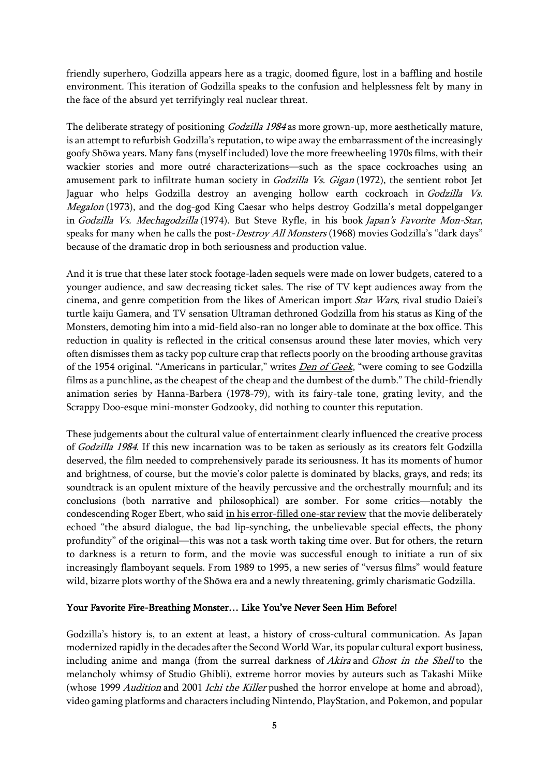friendly superhero, Godzilla appears here as a tragic, doomed figure, lost in a baffling and hostile environment. This iteration of Godzilla speaks to the confusion and helplessness felt by many in the face of the absurd yet terrifyingly real nuclear threat.

The deliberate strategy of positioning *Godzilla 1984* as more grown-up, more aesthetically mature, is an attempt to refurbish Godzilla's reputation, to wipe away the embarrassment of the increasingly goofy Shōwa years. Many fans (myself included) love the more freewheeling 1970s films, with their wackier stories and more outré characterizations—such as the space cockroaches using an amusement park to infiltrate human society in *Godzilla Vs. Gigan* (1972), the sentient robot Jet Jaguar who helps Godzilla destroy an avenging hollow earth cockroach in Godzilla Vs. Megalon (1973), and the dog-god King Caesar who helps destroy Godzilla's metal doppelganger in Godzilla Vs. Mechagodzilla (1974). But Steve Ryfle, in his book Japan's Favorite Mon-Star, speaks for many when he calls the post-*Destroy All Monsters* (1968) movies Godzilla's "dark days" because of the dramatic drop in both seriousness and production value.

And it is true that these later stock footage-laden sequels were made on lower budgets, catered to a younger audience, and saw decreasing ticket sales. The rise of TV kept audiences away from the cinema, and genre competition from the likes of American import Star Wars, rival studio Daiei's turtle kaiju Gamera, and TV sensation Ultraman dethroned Godzilla from his status as King of the Monsters, demoting him into a mid-field also-ran no longer able to dominate at the box office. This reduction in quality is reflected in the critical consensus around these later movies, which very often dismisses them as tacky pop culture crap that reflects poorly on the brooding arthouse gravitas of the 1954 original. "Americans in particular," writes *Den of [Geek](https://www.denofgeek.com/movies/godzilla-1985-was-ahead-of-its-time/)*, "were coming to see Godzilla films as a punchline, as the cheapest of the cheap and the dumbest of the dumb." The child-friendly animation series by Hanna-Barbera (1978-79), with its fairy-tale tone, grating levity, and the Scrappy Doo-esque mini-monster Godzooky, did nothing to counter this reputation.

These judgements about the cultural value of entertainment clearly influenced the creative process of Godzilla 1984. If this new incarnation was to be taken as seriously as its creators felt Godzilla deserved, the film needed to comprehensively parade its seriousness. It has its moments of humor and brightness, of course, but the movie's color palette is dominated by blacks, grays, and reds; its soundtrack is an opulent mixture of the heavily percussive and the orchestrally mournful; and its conclusions (both narrative and philosophical) are somber. For some critics—notably the condescending Roger Ebert, who said in his [error-filled](https://www.rogerebert.com/reviews/godzilla-1985-1985) one-star review that the movie deliberately echoed "the absurd dialogue, the bad lip-synching, the unbelievable special effects, the phony profundity" of the original—this was not a task worth taking time over. But for others, the return to darkness is a return to form, and the movie was successful enough to initiate a run of six increasingly flamboyant sequels. From 1989 to 1995, a new series of "versus films" would feature wild, bizarre plots worthy of the Shōwa era and a newly threatening, grimly charismatic Godzilla.

## Your Favorite Fire-Breathing Monster… Like You've Never Seen Him Before!

Godzilla's history is, to an extent at least, a history of cross-cultural communication. As Japan modernized rapidly in the decades after the Second World War, its popular cultural export business, including anime and manga (from the surreal darkness of Akira and Ghost in the Shell to the melancholy whimsy of Studio Ghibli), extreme horror movies by auteurs such as Takashi Miike (whose 1999 Audition and 2001 Ichi the Killer pushed the horror envelope at home and abroad), video gaming platforms and characters including Nintendo, PlayStation, and Pokemon, and popular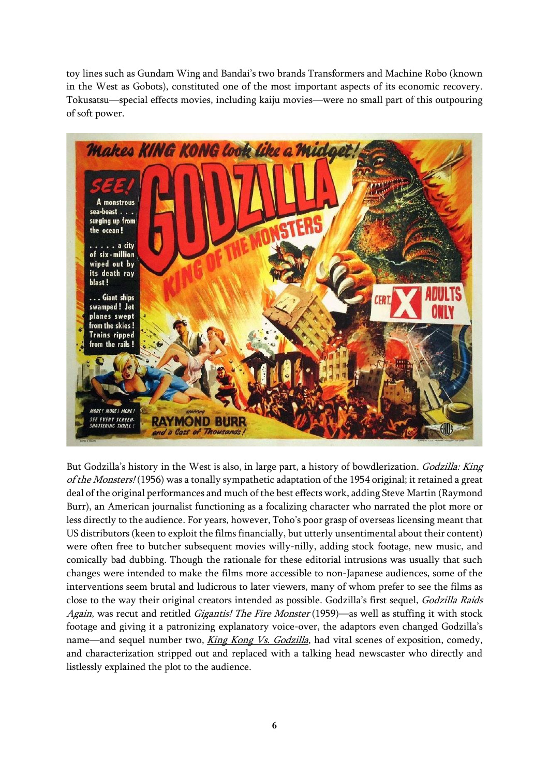toy lines such as Gundam Wing and Bandai's two brands Transformers and Machine Robo (known in the West as Gobots), constituted one of the most important aspects of its economic recovery. Tokusatsu—special effects movies, including kaiju movies—were no small part of this outpouring of soft power.



But Godzilla's history in the West is also, in large part, a history of bowdlerization. Godzilla: King of the Monsters! (1956) was a tonally sympathetic adaptation of the 1954 original; it retained a great deal of the original performances and much of the best effects work, adding Steve Martin (Raymond Burr), an American journalist functioning as a focalizing character who narrated the plot more or less directly to the audience. For years, however, Toho's poor grasp of overseas licensing meant that US distributors (keen to exploit the films financially, but utterly unsentimental about their content) were often free to butcher subsequent movies willy-nilly, adding stock footage, new music, and comically bad dubbing. Though the rationale for these editorial intrusions was usually that such changes were intended to make the films more accessible to non-Japanese audiences, some of the interventions seem brutal and ludicrous to later viewers, many of whom prefer to see the films as close to the way their original creators intended as possible. Godzilla's first sequel, Godzilla Raids Again, was recut and retitled *Gigantis! The Fire Monster* (1959)—as well as stuffing it with stock footage and giving it a patronizing explanatory voice-over, the adaptors even changed Godzilla's name—and sequel number two, *King Kong Vs. [Godzilla](https://wearethemutants.com/2021/03/25/the-greatest-showa-on-earth-1962s-king-kong-vs-godzilla/)*, had vital scenes of exposition, comedy, and characterization stripped out and replaced with a talking head newscaster who directly and listlessly explained the plot to the audience.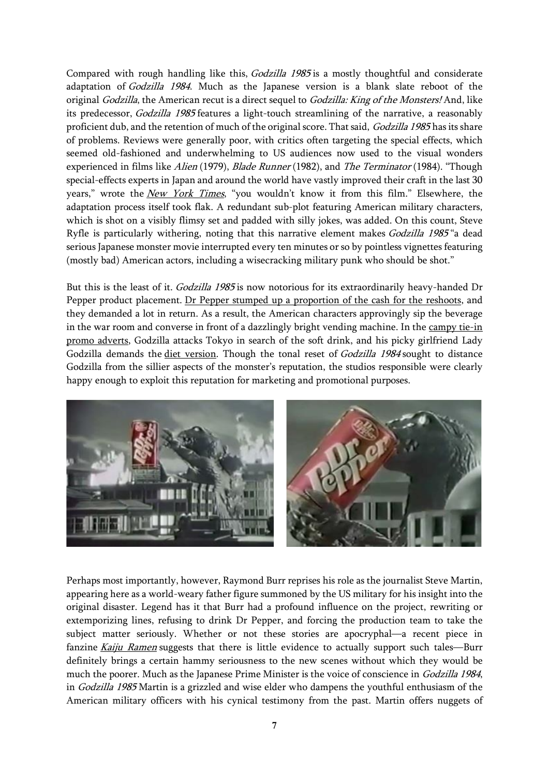Compared with rough handling like this, Godzilla 1985 is a mostly thoughtful and considerate adaptation of Godzilla 1984. Much as the Japanese version is a blank slate reboot of the original *Godzilla*, the American recut is a direct sequel to *Godzilla: King of the Monsters!* And, like its predecessor, Godzilla 1985 features a light-touch streamlining of the narrative, a reasonably proficient dub, and the retention of much of the original score. That said, Godzilla 1985 has its share of problems. Reviews were generally poor, with critics often targeting the special effects, which seemed old-fashioned and underwhelming to US audiences now used to the visual wonders experienced in films like Alien (1979), Blade Runner (1982), and The Terminator (1984). "Though special-effects experts in Japan and around the world have vastly improved their craft in the last 30 years," wrote the New York [Times](https://www.nytimes.com/1985/08/30/movies/the-screen-godzilla-1985.html), "you wouldn't know it from this film." Elsewhere, the adaptation process itself took flak. A redundant sub-plot featuring American military characters, which is shot on a visibly flimsy set and padded with silly jokes, was added. On this count, Steve Ryfle is particularly withering, noting that this narrative element makes Godzilla 1985 "a dead serious Japanese monster movie interrupted every ten minutes or so by pointless vignettes featuring (mostly bad) American actors, including a wisecracking military punk who should be shot."

But this is the least of it. Godzilla 1985 is now notorious for its extraordinarily heavy-handed Dr Pepper product placement. Dr Pepper stumped up a [proportion](https://www.latimes.com/archives/la-xpm-1985-08-02-ca-5791-story.html) of the cash for the reshoots, and they demanded a lot in return. As a result, the American characters approvingly sip the beverage in the war room and converse in front of a dazzlingly bright vending machine. In the [campy](https://www.youtube.com/watch?v=AOhUTnFhFwI) tie-in promo [adverts,](https://www.youtube.com/watch?v=AOhUTnFhFwI) Godzilla attacks Tokyo in search of the soft drink, and his picky girlfriend Lady Godzilla demands the diet [version.](https://www.youtube.com/watch?v=1_ZBxLjk4qs) Though the tonal reset of Godzilla 1984 sought to distance Godzilla from the sillier aspects of the monster's reputation, the studios responsible were clearly happy enough to exploit this reputation for marketing and promotional purposes.



Perhaps most importantly, however, Raymond Burr reprises his role as the journalist Steve Martin, appearing here as a world-weary father figure summoned by the US military for his insight into the original disaster. Legend has it that Burr had a profound influence on the project, rewriting or extemporizing lines, refusing to drink Dr Pepper, and forcing the production team to take the subject matter seriously. Whether or not these stories are apocryphal—a recent piece in fanzine *[Kaiju](https://kaijuramenmedia.com/shop/p/issue4) Ramen* suggests that there is little evidence to actually support such tales—Burr definitely brings a certain hammy seriousness to the new scenes without which they would be much the poorer. Much as the Japanese Prime Minister is the voice of conscience in Godzilla 1984, in Godzilla 1985 Martin is a grizzled and wise elder who dampens the youthful enthusiasm of the American military officers with his cynical testimony from the past. Martin offers nuggets of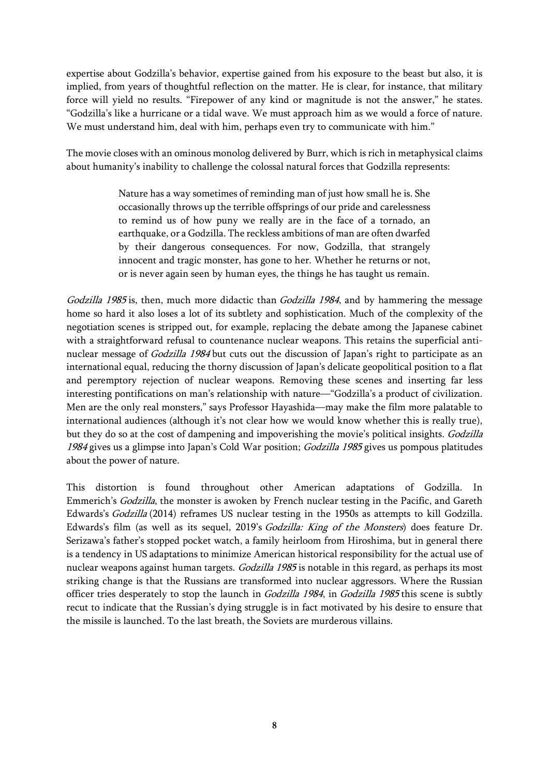expertise about Godzilla's behavior, expertise gained from his exposure to the beast but also, it is implied, from years of thoughtful reflection on the matter. He is clear, for instance, that military force will yield no results. "Firepower of any kind or magnitude is not the answer," he states. "Godzilla's like a hurricane or a tidal wave. We must approach him as we would a force of nature. We must understand him, deal with him, perhaps even try to communicate with him."

The movie closes with an ominous monolog delivered by Burr, which is rich in metaphysical claims about humanity's inability to challenge the colossal natural forces that Godzilla represents:

> Nature has a way sometimes of reminding man of just how small he is. She occasionally throws up the terrible offsprings of our pride and carelessness to remind us of how puny we really are in the face of a tornado, an earthquake, or a Godzilla. The reckless ambitions of man are often dwarfed by their dangerous consequences. For now, Godzilla, that strangely innocent and tragic monster, has gone to her. Whether he returns or not, or is never again seen by human eyes, the things he has taught us remain.

Godzilla 1985 is, then, much more didactic than Godzilla 1984, and by hammering the message home so hard it also loses a lot of its subtlety and sophistication. Much of the complexity of the negotiation scenes is stripped out, for example, replacing the debate among the Japanese cabinet with a straightforward refusal to countenance nuclear weapons. This retains the superficial antinuclear message of Godzilla 1984 but cuts out the discussion of Japan's right to participate as an international equal, reducing the thorny discussion of Japan's delicate geopolitical position to a flat and peremptory rejection of nuclear weapons. Removing these scenes and inserting far less interesting pontifications on man's relationship with nature—"Godzilla's a product of civilization. Men are the only real monsters," says Professor Hayashida—may make the film more palatable to international audiences (although it's not clear how we would know whether this is really true), but they do so at the cost of dampening and impoverishing the movie's political insights. Godzilla 1984 gives us a glimpse into Japan's Cold War position; Godzilla 1985 gives us pompous platitudes about the power of nature.

This distortion is found throughout other American adaptations of Godzilla. In Emmerich's Godzilla, the monster is awoken by French nuclear testing in the Pacific, and Gareth Edwards's Godzilla (2014) reframes US nuclear testing in the 1950s as attempts to kill Godzilla. Edwards's film (as well as its sequel, 2019's Godzilla: King of the Monsters) does feature Dr. Serizawa's father's stopped pocket watch, a family heirloom from Hiroshima, but in general there is a tendency in US adaptations to minimize American historical responsibility for the actual use of nuclear weapons against human targets. *Godzilla 1985* is notable in this regard, as perhaps its most striking change is that the Russians are transformed into nuclear aggressors. Where the Russian officer tries desperately to stop the launch in *Godzilla 1984*, in *Godzilla 1985* this scene is subtly recut to indicate that the Russian's dying struggle is in fact motivated by his desire to ensure that the missile is launched. To the last breath, the Soviets are murderous villains.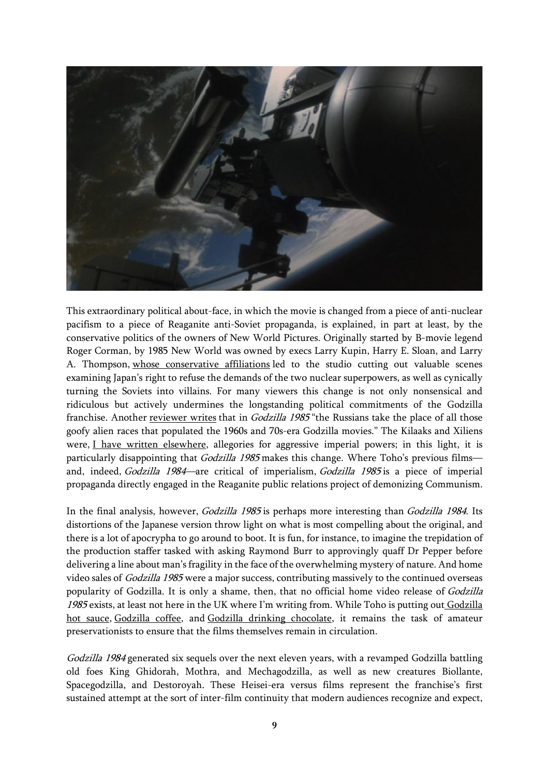

This extraordinary political about-face, in which the movie is changed from a piece of anti-nuclear pacifism to a piece of Reaganite anti-Soviet propaganda, is explained, in part at least, by the conservative politics of the owners of New World Pictures. Originally started by B-movie legend Roger Corman, by 1985 New World was owned by execs Larry Kupin, Harry E. Sloan, and Larry A. Thompson, whose [conservative](https://www.google.com/books/edition/Japan_s_Favorite_Mon_star/cqSOkywWeX4C?hl=en&gbpv=1&dq=%22known+for+injecting+their+right-wing,+Reagan-era+politics+into+films%22&pg=PA241&printsec=frontcover) affiliations led to the studio cutting out valuable scenes examining Japan's right to refuse the demands of the two nuclear superpowers, as well as cynically turning the Soviets into villains. For many viewers this change is not only nonsensical and ridiculous but actively undermines the longstanding political commitments of the Godzilla franchise. Another [reviewer](http://millionmonkeytheater.com/Godzilla1985.html) writes that in *Godzilla 1985* "the Russians take the place of all those goofy alien races that populated the 1960s and 70s-era Godzilla movies." The Kilaaks and Xiliens were, I have written [elsewhere,](https://wearethemutants.com/2021/10/06/the-golden-hydra-king-ghidorah-astro-colonizers-and-cold-war-empire/) allegories for aggressive imperial powers; in this light, it is particularly disappointing that Godzilla 1985 makes this change. Where Toho's previous filmsand, indeed, Godzilla 1984—are critical of imperialism, Godzilla 1985 is a piece of imperial propaganda directly engaged in the Reaganite public relations project of demonizing Communism.

In the final analysis, however, *Godzilla 1985* is perhaps more interesting than *Godzilla 1984*. Its distortions of the Japanese version throw light on what is most compelling about the original, and there is a lot of apocrypha to go around to boot. It is fun, for instance, to imagine the trepidation of the production staffer tasked with asking Raymond Burr to approvingly quaff Dr Pepper before delivering a line about man's fragility in the face of the overwhelming mystery of nature. And home video sales of *Godzilla 1985* were a major success, contributing massively to the continued overseas popularity of Godzilla. It is only a shame, then, that no official home video release of Godzilla 1985 exists, at least not here in the UK where I'm writing from. While Toho is putting out [Godzilla](https://godzillafoods.com/collections/hot-sauce) hot [sauce,](https://godzillafoods.com/collections/hot-sauce) [Godzilla](https://godzillafoods.com/collections/coffee) coffee, and Godzilla drinking [chocolate,](https://godzillafoods.com/collections/hot-cocoa) it remains the task of amateur preservationists to ensure that the films themselves remain in circulation.

Godzilla 1984 generated six sequels over the next eleven years, with a revamped Godzilla battling old foes King Ghidorah, Mothra, and Mechagodzilla, as well as new creatures Biollante, Spacegodzilla, and Destoroyah. These Heisei-era versus films represent the franchise's first sustained attempt at the sort of inter-film continuity that modern audiences recognize and expect,